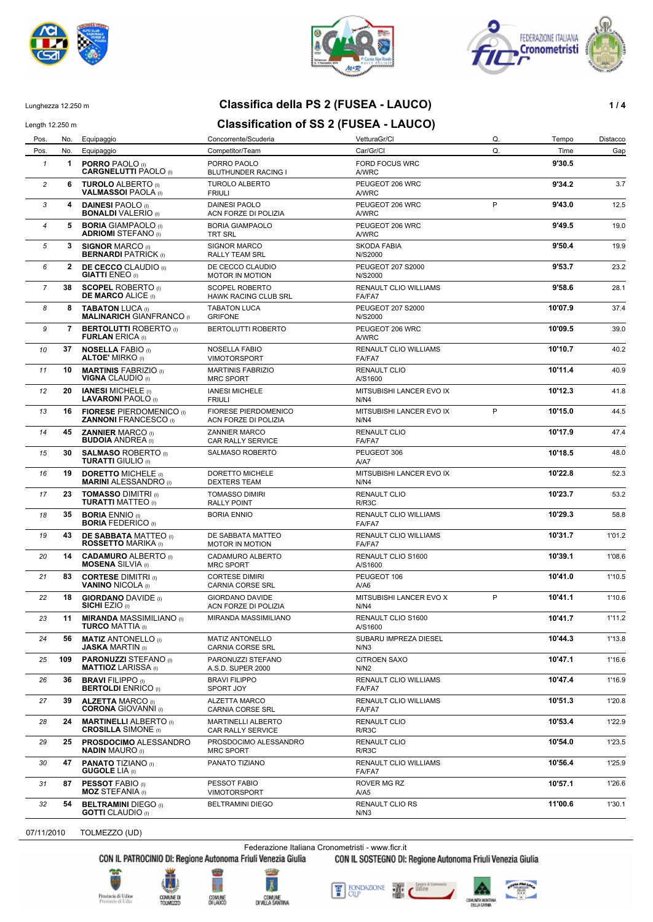





#### Lunghezza 12.250 m **Classifica della PS 2 (FUSEA - LAUCO) 1 / 4**

# Length 12.250 m **Classification of SS 2 (FUSEA - LAUCO)**

Pos. No. Equipaggio Concorrente/Scuderia VetturaGr/Cl Q. Tempo Distacco Pos. No. Equipaggio Competitor/Team Car/Gr/Cl Q. Time Gap 1 **1 PORRO** PAOLO (I) **1 PORRO PAOLO** PORRO PAOLO **FORD FORD FOCUS WRC 1 1 9'30.5**<br>**CARGNELUTTI PAOLO** (I) BLUTHUNDER RACING I AVARC **CARGNELUTTI** PAOLO (I) *2* **6 TUROLO** ALBERTO (I) TUROLO ALBERTO PEUGEOT 206 WRC **9'34.2** 3.7 **VALMASSOI PAOLA** *II 3* **4 DAINESI** PAOLO (I) DAINESI PAOLO PEUGEOT 206 WRC **9'43.0** 12.5 **BONALDI** VALERIO (I) ACN FORZE DI POLIZIA AWRC P **4 5 BORIA** GIAMPAOLO (I) BORIA GIAMPAOLO **PEUGEOT 206 WRC** 9'49.5 9'49.5 19.0 **ADRIOMI** STEFANO (I) *5* **3 SIGNOR** MARCO (I) SIGNOR MARCO SKODA FABIA **9'50.4** 19.9 **BERNARDI** PATRICK (I) *6* **2 DE CECCO** CLAUDIO (I) DE CECCO CLAUDIO **PEUGEOT 207 S2000** 9'53.7 9'53.7 23.2<br>**GIATTI** ENEO (I) 9'53.7 MOTOR IN MOTION N/S2000 N/S2000 **MOTOR IN MOTION 7 38 SCOPEL** ROBERTO (I) SCOPEL ROBERTO **RENAULT CLIO WILLIAMS 9'58.6 9'58.6** 28.1 **HAWK RACING CLUB SRL FA/FA7 8 8 TABATON** LUCA (I) TABATON LUCA (I) TABATON LUCA PEUGEOT 207 S2000 100 10'07.9 37.4 **MALINARICH** GIANFRANCO **7 BERTOLUTTI** ROBERTO (I) BERTOLUTTI ROBERTO PEUGEOT 206 WRC<br>**FURLAN** ERICA (I) **FURLAN** BRICA **FURLAN** ERICA (I) *10* **37 NOSELLA** FABIO (I) NOSELLA FABIO RENAULT CLIO WILLIAMS **10'10.7** 40.2 **ALTOE' MIRKO (I)** 11 **10 MARTINIS** FABRIZIO (I) MARTINIS FABRIZIO RENAULT CLIO **10'11.4** 40.9<br>**VIGNA** CLAUDIO (I) MRC SPORT A/S1600 **VIGNA** CLAUDIO (I) 12 **20 IANESI** MICHELE (I) IANESI MICHELE INTSUBISHI LANCER EVO IX<br>**LAVARONI** PAOLO (I) FRIULI INTSUBISHI LANCER EVO IX **LAVARONI** PAOLO<sup>(I)</sup> 13 **16 FIORESE** PIERDOMENICO (I) FIORESE PIERDOMENICO MITSUBISHI LANCER EVO IX P **10'15.0** 44.5<br>**ZANNONI** FRANCESCO (I) ACN FORZE DI POLIZIA N/N4 **ZANNONI FRANCESCO** (I) P *14* **45 ZANNIER** MARCO (I) ZANNIER MARCO RENAULT CLIO **10'17.9** 47.4 **BUDOIA** ANDREA (I) CAR RALLY SERVICE FA/FA7 *15* **30 SALMASO** ROBERTO (I) SALMASO ROBERTO PEUGEOT 306 **10'18.5** 48.0 **TURATTI** GIULIO (I) A/A7 *16* **19 DORETTO** MICHELE (I) DORETTO MICHELE MITSUBISHI LANCER EVO IX **10'22.8** 52.3 **MARINI** ALESSANDRO (I) DEXTERS TEAM N/N4 17 **23 TOMASSO** DIMITRI (I) TOMASSO DIMIRI **III RENAULT CLIO** 10123.7 53.2<br>**TURATTI** MATTEO (I) RALLY POINT RING RIRISC **TURATTI MATTEO** (I) **18 35 BORIA** ENNIO (I) **BORIA ENNIO BORIA ENNIO RENAULT CLIO WILLIAMS 10'29.3 10'29.3** 58.8 **BORIA** FEDERICO (I) **43 DE SABBATA** MATTEO (I) DE SABBATA MATTEO RENAULT CLIO WILLIAMS **10'31.7** 1'01.2<br>**ROSSETTO** MARIKA (I) MOTOR IN MOTION **ROSSETTO MARIKA** (I) *20* **14 CADAMURO** ALBERTO (I) CADAMURO ALBERTO RENAULT CLIO S1600 **10'39.1** 1'08.6 **MOSENA** SILVIA (I) MRC SPORT A/S1600 *21* **83 CORTESE** DIMITRI (I) CORTESE DIMIRI PEUGEOT 106 **10'41.0** 1'10.5 **VANINO** NICOLA (I) CARNIA CORSE SRL A/A6 **22 18 GIORDANO** DAVIDE (I) GIORDANO DAVIDE MITSUBISHI LANCER EVO X P **10'41.1** 1'10.6<br>**SICHI** EZIO (I) ACN FORZE DI POLIZIA N/N4 **ACN FORZE DI POLIZIA** P <sup>23</sup> **11 MIRANDA** MASSIMILIANO () MIRANDA MASSIMILIANO RENAULT CLIO S1600 1000 10011.7 1'11.2<br>**TURCO** MATTIA () **TURCO** MATTIA (I) 24 **56 MATIZ** ANTONELLO (I) MATIZ ANTONELLO SUBARU IMPREZA DIESEL 1999 **10'44.3** 1'13.8<br>**JASKA** MARTIN (I) CARNIA CORSE SRL **JASKA** MARTIN (I) CARNIA CORSE SRL N/N3 25 **109 PARONUZZI** STEFANO (I) PARONUZZI STEFANO CITROEN SAXO **10'47.1** 1'16.6<br>**MATTIOZ** LARISSA (I) A S.D. SUPER 2000 NIN2 **MATTIOZ** LARISSA (I) **26 36 BRAVI** FILIPPO (I) BRAVI FILIPPO **RENAULT CLIO WILLIAMS 10'47.4 1'16.9 BERTOLDI** ENRICO (I) SPORT JOY **FAILMENT CLIO WILLIAMS BERTOLDI** ENRICO (I) **27 39 ALZETTA** MARCO (I) **ALZETTA MARCO RENAULT CLIO WILLIAMS 10'51.3** 1'20.8<br>**CORONA** GIOVANNI (I) CARNIA CORSE SRL **120.8** FA/FA7 **CARNIA CORSE SRL** *28* **24 MARTINELLI** ALBERTO (I) MARTINELLI ALBERTO RENAULT CLIO **10'53.4** 1'22.9 **CROSILLA** SIMONE (I) CAR RALLY SERVICE R/R3C *29* **25 PROSDOCIMO** ALESSANDRO PROSDOCIMO ALESSANDRO RENAULT CLIO **10'54.0** 1'23.5 **NADIN** MAURO (I) MRC SPORT **47 PANATO** TIZIANO (I) **PANATO TIZIANO** RENAULT CLIO WILLIAMS **10'56.4** 1'25.9<br>**GUGOLE** LIA (I) **GUGOLE** LIA (I) *31* **87 PESSOT** FABIO (I) PESSOT FABIO ROVER MG RZ **10'57.1** 1'26.6 **MOZ** STEFANIA (I) VIMOTORSPORT A/A5 **54 BELTRAMINI** DIEGO (I) BELTRAMINI DIEGO RENAULT CLIO RS **11'00.6** 1'30.1<br>**GOTTI** CLAUDIO (I) BELTRAMINI DIEGO NNIS **GOTTI** CLAUDIO (I)

#### 07/11/2010 TOLMEZZO (UD)

Federazione Italiana Cronometristi - www.ficr.it

CON IL PATROCINIO DI: Regione Autonoma Friuli Venezia Giulia CON IL SOSTEGNO DI: Regione Autonoma Friuli Venezia Giulia









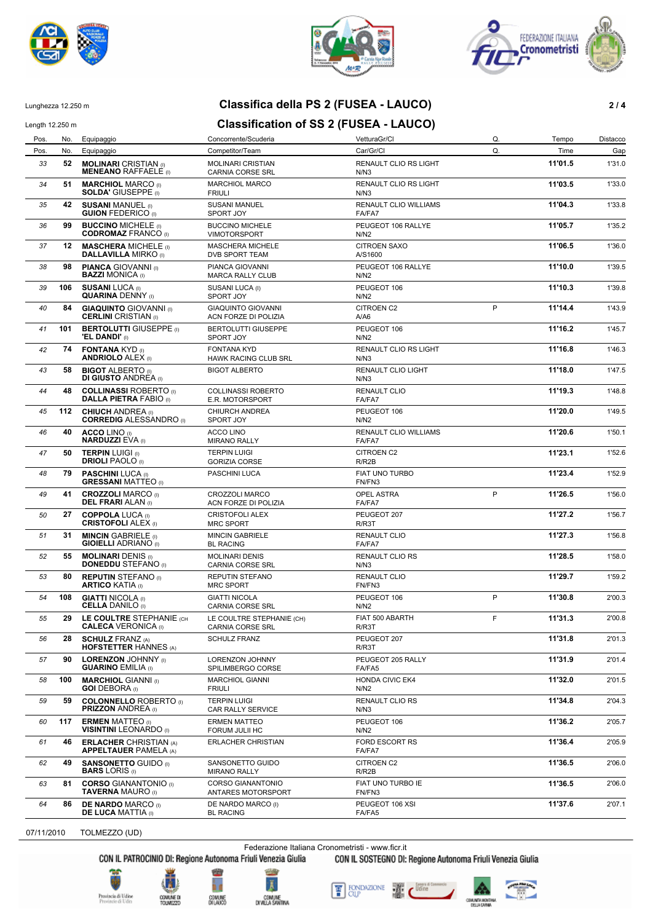





### Lunghezza 12.250 m **Classifica della PS 2 (FUSEA - LAUCO) 2 / 4**

#### Length 12.250 m **Classification of SS 2 (FUSEA - LAUCO)** Pos. No. Equipaggio Concorrente/Scuderia VetturaGr/Cl Q. Tempo Distacco

Pos. No. Equipaggio Competitor/Team Car/Gr/Cl Q. Time Gap **52 MOLINARI** CRISTIAN (I) MOLINARI CRISTIAN RENAULT CLIO RS LIGHT **11'01.5** 1'31.0<br>**MENEANO** RAFFAELE (I) CARNIA CORSE SRL N/N3 **MENEANO** RAFFAELE<sup>'</sup>(I) **51 MARCHIOL** MARCO (I) MARCHIOL MARCO RENAULT CLIO RS LIGHT **11'03.5** 1'33.0<br>**SOLDA'** GIUSEPPE (I) FRIULI FRIULI **SOLDA'** GIUSEPPE (i) **42 SUSANI** MANUEL (I) SUSANI MANUEL RENAULT CLIO WILLIAMS **11'04.3** 1'33.8 **GUION** FEDERICO (I) SPORT JOY **FA/FA7 36 99 BUCCINO** MICHELE (i) BUCCINO MICHELE **PEUGEOT 106 RALLYE 11'05.7** 1'35.2 **CODROMAZ** FRANCO (I) VIMOTORSPORT **12 MASCHERA** MICHELE (I) MASCHERA MICHELE CITROEN SAXO **11'06.5** 1'36.0<br>**DALLAVILLA** MIRKO (I) DVB SPORT TEAM A/S1600 **DALLAVILLA MIRKO** (I) **98 PIANCA** GIOVANNI (I) PIANCA GIOVANNI PEUGEOT 106 RALLYE 1'39.5<br>**BAZZI** MONICA (I) MARCA RALLY CLUB N/N2 **MARCA RALLY CLUB** *39* **106 SUSANI** LUCA (I) SUSANI LUCA (I) PEUGEOT 106 **11'10.3** 1'39.8 **QUARINA** DENNY (I) SPORT JOY N/N2 *40* **84 GIAQUINTO** GIOVANNI (I) GIAQUINTO GIOVANNI CITROEN C2 **11'14.4** 1'43.9 **CERLINI** CRISTIAN (I) ACN FORZE DI POLIZIA A/A6 P **41 101 BERTOLUTTI GIUSEPPE** (I) BERTOLUTTI GIUSEPPE PEUGEOT 106 **11'16.2** 1'45.7 1'45.7 1'45.7 1'45.7 1'45.7 1'45.7 1'45.7 1'45.7 **1'16.2** 1'45.7 1'45.7 1'16.2 1'45.7 1'45.7 1'16.2 1'45.7 1'16.2 1'45.7 1 **'EL DANDI'** (I) **42 74 FONTANA** KYD (I) FONTANA KYD RENAULT CLIO RS LIGHT **11'16.8** 1'46.3<br>**ANDRIOLO** ALEX (I) BRAWK RACING CLUB SRL NANS **HAWK RACING CLUB SRL N/N3** *43* **58 BIGOT** ALBERTO (I) BIGOT ALBERTO RENAULT CLIO LIGHT **11'18.0** 1'47.5 **DI GIUSTO** ANDREA (I) N/N3 **44 48** COLLINASSI ROBERTO (I) COLLINASSI ROBERTO RENAULT CLIO **11'19.3** 1'48.8<br>**DALLA PIETRA** FABIO (I) ER. MOTORSPORT FAIRAT RENEAT **DALLA PIETRA FABIO (I) 45 112 CHIUCH** ANDREA (I) CHIURCH ANDREA PEUGEOT 106 **1120.0** 1149.5<br>**CORREDIG** ALESSANDRO (I) SPORT JOY NN2 **CORREDIG** ALESSANDRO (I) *46* **40 ACCO** LINO (I) ACCO LINO RENAULT CLIO WILLIAMS **11'20.6** 1'50.1 **NOCO ENTO (I)**<br>**NARDUZZI** EVA (I) *47* **50 TERPIN** LUIGI (I) TERPIN LUIGI CITROEN C2 **11'23.1** 1'52.6 **DRIOLI** PAOLO<sup>(I)</sup> GORIZIA CORSE R/R2B *48* **79 PASCHINI** LUCA (I) PASCHINI LUCA FIAT UNO TURBO **11'23.4** 1'52.9 **GRESSANI** MATTEO (I) FN/FN3 *49* **41 CROZZOLI** MARCO (I) CROZZOLI MARCO OPEL ASTRA **11'26.5** 1'56.0 **DEL FRARI** ALAN (I) P *50* **27 COPPOLA** LUCA (I) CRISTOFOLI ALEX PEUGEOT 207 **11'27.2** 1'56.7 **CRISTOFOLI** ALEX (I) MRC SPORT **RIGHT** R/R3T **51 31 MINCIN** GABRIELE (I) MINCIN GABRIELE RENAULT CLIO<br>**GIOIELLI** ADRIANO (I) BL RACING BE RESERCIO RENEAT RENAULT CLIO **GIOIELLI** ADRIANO (I) **52 55 MOLINARI** DENIS (I) **MOLINARI DENIS MOLINARI DENIS CARNIS RENAULT CLIO RS 11'58.0 11'28.5** 1'58.0<br>**DONEDDU** STEFANO (I) CARNIA CORSE SRL **DONEDDU** STEFANO (I) **53 80 REPUTIN** STEFANO (I) REPUTIN STEFANO **RENAULT CLIO 11'29.7** 1'59.2<br>**ARTICO** KATIA (I) MRC SPORT FN/FN3 **ARTICO** KATIA (I) *54* **108 GIATTI** NICOLA (I) GIATTI NICOLA PEUGEOT 106 **11'30.8** 2'00.3 **CARNIA CORSE SRL** P **55 29 LE COULTRE** STEPHANIE (CH LE COULTRE STEPHANIE (CH) **11'31.3 11'31.3** 2'00.8<br> **CALECA** VERONICA (I) CARNIA CORSE SRL RIR3T RIR3T **CALECA** VERONICA (I) F *56* **28 SCHULZ** FRANZ (A) SCHULZ FRANZ PEUGEOT 207 **11'31.8** 2'01.3 **HOFSTETTER** HANNES (A) RICH RESERVE THE RESERVE THAN RESERVE THE RESERVE THAN RESERVE THE RESERVE THAN RESERVE THAN RESERVE THAN RESERVE THAN RESERVE THAN RESERVE THAN RESERVE THAN RESERVE THAN RESERVE THAN RESERVE THAN R **57 90 LORENZON** JOHNNY (I)  $\overline{O}$  **LORENZON** JOHNNY **PEUGEOT 205 RALLY 11'31.9 11'31.9** 2'01.4 SPILIMBERGO CORSE **58 100 MARCHIOL** GIANNI (I) MARCHIOL GIANNI HONDA CIVIC EK4 **11'32.0 11'32.0** 2'01.5<br>**GOI** DEBORA (I) FRIULI FRIULI **GOI** DEBORA (I) *59* **59 COLONNELLO** ROBERTO (I) TERPIN LUIGI RENAULT CLIO RS **11'34.8** 2'04.3 **PRIZZON** ANDREA (I) *60* **117 ERMEN** MATTEO (I) ERMEN MATTEO PEUGEOT 106 **11'36.2** 2'05.7 **VISINTINI** LEONARDO (I) FORUM JULII HC N/N2 *61* **46 ERLACHER** CHRISTIAN (A) ERLACHER CHRISTIAN FORD ESCORT RS **11'36.4** 2'05.9 **APPELTAUER** PAMELA (A) **49 SANSONETTO** GUIDO (I) SANSONETTO GUIDO CITROEN C2 **11'36.5** 2'06.0<br>**BARS** LORIS (I) MIRANO RALLY R/R2B **BARS** LORIS (I) MIRANO RALLY R/R2B *63* **81 CORSO** GIANANTONIO (I) CORSO GIANANTONIO FIAT UNO TURBO IE **11'36.5** 2'06.0 **ANTARES MOTORSPORT FN/FN3 64 86 DE NARDO** MARCO (I) DE NARDO MARCO (I) PEUGEOT 106 XSI **11'37.6** 11'37.6 2'07.1 **DE LUCA MATTIA (I)** 

07/11/2010 TOLMEZZO (UD)

Federazione Italiana Cronometristi - www.ficr.it

CON IL PATROCINIO DI: Regione Autonoma Friuli Venezia Giulia CON IL SOSTEGNO DI: Regione Autonoma Friuli Venezia Giulia











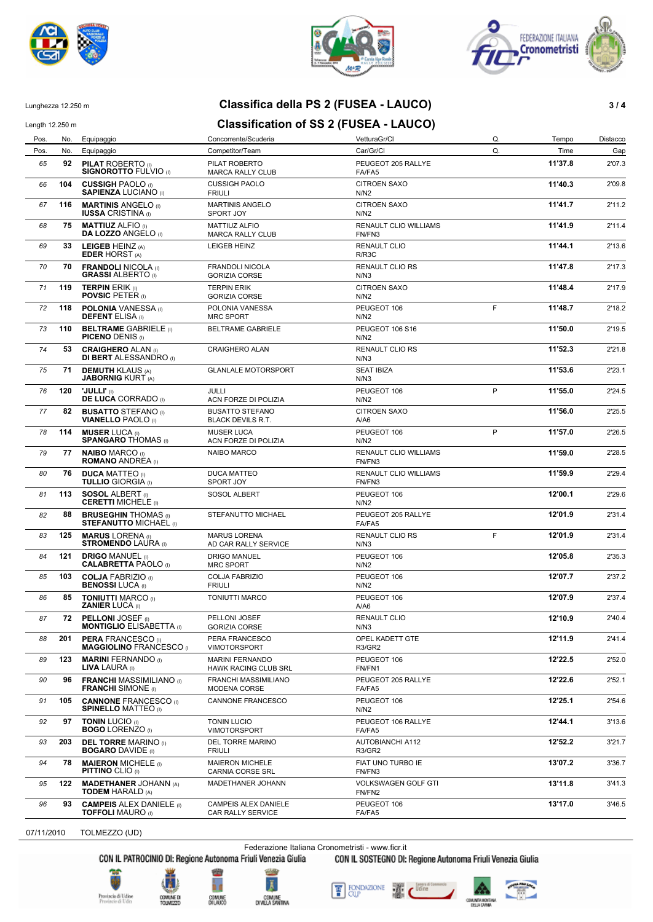





# Lunghezza 12.250 m **Classifica della PS 2 (FUSEA - LAUCO) 3 / 4**

# Length 12.250 m **Classification of SS 2 (FUSEA - LAUCO)** Pos. No. Equipaggio Concorrente/Scuderia Concorrente/Scuderia VetturaGr/Cl Concorrente/Scuderia Concorrente/Scuderia

| Pos. | No. | Equipaggio                                                   | Competitor/Team                                    | Car/Gr/Cl                                | Q. | Time    | Gap    |
|------|-----|--------------------------------------------------------------|----------------------------------------------------|------------------------------------------|----|---------|--------|
| 65   | 92  | <b>PILAT ROBERTO</b> (I)<br><b>SIGNOROTTO FULVIO (I)</b>     | PILAT ROBERTO<br><b>MARCA RALLY CLUB</b>           | PEUGEOT 205 RALLYE<br>FA/FA5             |    | 11'37.8 | 2'07.3 |
| 66   | 104 | <b>CUSSIGH PAOLO</b> (I)<br><b>SAPIENZA LUCIANO</b> (I)      | <b>CUSSIGH PAOLO</b><br><b>FRIULI</b>              | <b>CITROEN SAXO</b><br>N/N2              |    | 11'40.3 | 2'09.8 |
| 67   | 116 | <b>MARTINIS ANGELO</b> (i)<br><b>IUSSA CRISTINA</b> (I)      | <b>MARTINIS ANGELO</b><br>SPORT JOY                | <b>CITROEN SAXO</b><br>N/N2              |    | 11'41.7 | 2'11.2 |
| 68   | 75  | <b>MATTIUZ ALFIO (I)</b><br><b>DA LOZZO ANGELO (I)</b>       | <b>MATTIUZ ALFIO</b><br><b>MARCA RALLY CLUB</b>    | RENAULT CLIO WILLIAMS<br>FN/FN3          |    | 11'41.9 | 2'11.4 |
| 69   | 33  | <b>LEIGEB HEINZ (A)</b><br><b>EDER HORST (A)</b>             | LEIGEB HEINZ                                       | <b>RENAULT CLIO</b><br>R/R3C             |    | 11'44.1 | 2'13.6 |
| 70   | 70  | <b>FRANDOLI NICOLA (I)</b><br><b>GRASSI ALBERTO</b> (I)      | FRANDOLI NICOLA<br><b>GORIZIA CORSE</b>            | <b>RENAULT CLIO RS</b><br>N/N3           |    | 11'47.8 | 2'17.3 |
| 71   | 119 | <b>TERPIN ERIK (i)</b><br><b>POVSIC PETER (i)</b>            | <b>TERPIN ERIK</b><br><b>GORIZIA CORSE</b>         | <b>CITROEN SAXO</b><br>N/N2              |    | 11'48.4 | 2'17.9 |
| 72   | 118 | <b>POLONIA VANESSA (I)</b><br><b>DEFENT ELISA</b> (I)        | POLONIA VANESSA<br><b>MRC SPORT</b>                | PEUGEOT 106<br>N/N2                      | F  | 11'48.7 | 2'18.2 |
| 73   | 110 | <b>BELTRAME GABRIELE (I)</b><br><b>PICENO DENIS (I)</b>      | <b>BELTRAME GABRIELE</b>                           | PEUGEOT 106 S16<br>N/N2                  |    | 11'50.0 | 2'19.5 |
| 74   | 53  | <b>CRAIGHERO ALAN (I)</b><br><b>DI BERT ALESSANDRO</b> (I)   | CRAIGHERO ALAN                                     | <b>RENAULT CLIO RS</b><br>N/N3           |    | 11'52.3 | 2'21.8 |
| 75   | 71  | <b>DEMUTH KLAUS (A)</b><br><b>JABORNIG KURT (A)</b>          | <b>GLANLALE MOTORSPORT</b>                         | <b>SEAT IBIZA</b><br>N/N3                |    | 11'53.6 | 2'23.1 |
| 76   | 120 | <b>'JULLI'</b> (I)<br><b>DE LUCA CORRADO</b> (I)             | <b>JULLI</b><br>ACN FORZE DI POLIZIA               | PEUGEOT 106<br>N/N2                      | P  | 11'55.0 | 2'24.5 |
| 77   | 82  | <b>BUSATTO STEFANO (I)</b><br><b>VIANELLO PAOLO</b> (I)      | <b>BUSATTO STEFANO</b><br><b>BLACK DEVILS R.T.</b> | <b>CITROEN SAXO</b><br>A/A6              |    | 11'56.0 | 2'25.5 |
| 78   | 114 | <b>MUSER LUCA (I)</b><br><b>SPANGARO THOMAS (I)</b>          | <b>MUSER LUCA</b><br>ACN FORZE DI POLIZIA          | PEUGEOT 106<br>N/N2                      | P  | 11'57.0 | 2'26.5 |
| 79   | 77  | <b>NAIBO MARCO (I)</b><br><b>ROMANO ANDREA</b> (I)           | <b>NAIBO MARCO</b>                                 | <b>RENAULT CLIO WILLIAMS</b><br>FN/FN3   |    | 11'59.0 | 2'28.5 |
| 80   | 76  | <b>DUCA MATTEO</b> (I)<br><b>TULLIO GIORGIA (I)</b>          | <b>DUCA MATTEO</b><br>SPORT JOY                    | RENAULT CLIO WILLIAMS<br>FN/FN3          |    | 11'59.9 | 2'29.4 |
| 81   | 113 | <b>SOSOL ALBERT</b> (i)<br><b>CERETTI MICHELE (I)</b>        | SOSOL ALBERT                                       | PEUGEOT 106<br>N/N2                      |    | 12'00.1 | 2'29.6 |
| 82   | 88  | <b>BRUSEGHIN THOMAS (I)</b><br><b>STEFANUTTO MICHAEL (I)</b> | STEFANUTTO MICHAEL                                 | PEUGEOT 205 RALLYE<br>FA/FA5             |    | 12'01.9 | 2'31.4 |
| 83   | 125 | <b>MARUS LORENA</b> (I)<br><b>STROMENDO LAURA (I)</b>        | <b>MARUS LORENA</b><br>AD CAR RALLY SERVICE        | <b>RENAULT CLIO RS</b><br>N/N3           | F  | 12'01.9 | 2'31.4 |
| 84   | 121 | <b>DRIGO MANUEL (I)</b><br><b>CALABRETTA PAOLO (I)</b>       | <b>DRIGO MANUEL</b><br><b>MRC SPORT</b>            | PEUGEOT 106<br>N/N2                      |    | 12'05.8 | 2'35.3 |
| 85   | 103 | <b>COLJA FABRIZIO (I)</b><br><b>BENOSSI LUCA</b> (I)         | COLJA FABRIZIO<br><b>FRIULI</b>                    | PEUGEOT 106<br>N/N2                      |    | 12'07.7 | 2'37.2 |
| 86   | 85  | <b>TONIUTTI MARCO (I)</b><br><b>ZANIER LUCA (I)</b>          | <b>TONIUTTI MARCO</b>                              | PEUGEOT 106<br>A/A6                      |    | 12'07.9 | 2'37.4 |
| 87   | 72  | <b>PELLONI JOSEF</b> (I)<br><b>MONTIGLIO ELISABETTA</b> (i)  | PELLONI JOSEF<br><b>GORIZIA CORSE</b>              | <b>RENAULT CLIO</b><br>N/N3              |    | 12'10.9 | 2'40.4 |
| 88   | 201 | <b>PERA FRANCESCO</b> (I)<br><b>MAGGIOLINO FRANCESCO (I)</b> | PERA FRANCESCO<br><b>VIMOTORSPORT</b>              | OPEL KADETT GTE<br><b>R3/GR2</b>         |    | 12'11.9 | 2'41.4 |
| 89   | 123 | <b>MARINI FERNANDO</b> (I)<br>LIVA LAURA (I)                 | <b>MARINI FERNANDO</b><br>HAWK RACING CLUB SRL     | PEUGEOT 106<br>FN/FN1                    |    | 12'22.5 | 2'52.0 |
| 90   | 96  | <b>FRANCHI MASSIMILIANO</b> (i)<br><b>FRANCHI</b> SIMONE (I) | FRANCHI MASSIMILIANO<br>MODENA CORSE               | PEUGEOT 205 RALLYE<br>FA/FA5             |    | 12'22.6 | 2'52.1 |
| 91   | 105 | <b>CANNONE FRANCESCO</b> (I)<br><b>SPINELLO MATTEO (I)</b>   | CANNONE FRANCESCO                                  | PEUGEOT 106<br>N/N2                      |    | 12'25.1 | 2'54.6 |
| 92   | 97  | <b>TONIN LUCIO (I)</b><br><b>BOGO LORENZO</b> (I)            | <b>TONIN LUCIO</b><br>VIMOTORSPORT                 | PEUGEOT 106 RALLYE<br>FA/FA5             |    | 12'44.1 | 3'13.6 |
| 93   | 203 | <b>DEL TORRE MARINO (I)</b><br><b>BOGARO</b> DAVIDE (I)      | DEL TORRE MARINO<br><b>FRIULI</b>                  | <b>AUTOBIANCHI A112</b><br><b>R3/GR2</b> |    | 12'52.2 | 3'21.7 |
| 94   | 78  | <b>MAIERON MICHELE (ii)</b><br><b>PITTINO CLIO (I)</b>       | <b>MAIERON MICHELE</b><br>CARNIA CORSE SRL         | FIAT UNO TURBO IE<br>FN/FN3              |    | 13'07.2 | 3'36.7 |
| 95   | 122 | <b>MADETHANER JOHANN (A)</b><br><b>TODEM HARALD (A)</b>      | MADETHANER JOHANN                                  | VOLKSWAGEN GOLF GTI<br>FN/FN2            |    | 13'11.8 | 3'41.3 |
| 96   | 93  | <b>CAMPEIS ALEX DANIELE (I)</b><br><b>TOFFOLI MAURO (I)</b>  | CAMPEIS ALEX DANIELE<br>CAR RALLY SERVICE          | PEUGEOT 106<br>FA/FA5                    |    | 13'17.0 | 3'46.5 |
|      |     |                                                              |                                                    |                                          |    |         |        |

07/11/2010 TOLMEZZO (UD)

Federazione Italiana Cronometristi - www.ficr.it<br>CON IL PATROCINIO DI: Regione Autonoma Friuli Venezia Giulia CON IL SOSTEGNO DI:

CON IL SOSTEGNO DI: Regione Autonoma Friuli Venezia Giulia